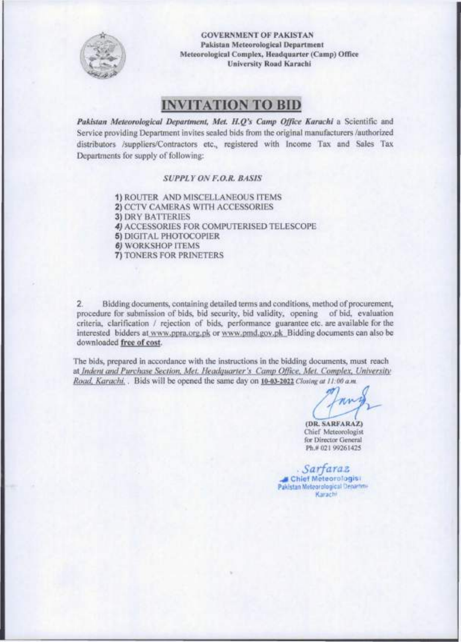

**GOVERNMENT OF PAKISTAN Pakistan Meteorological Department Meteorological Complex, Headquarter (Camp) Office University Road Karachi** 

## **INVITATION TO BID**

*Pakistan Meteorological Department, Met. H.Q's Camp Office Karachi* a Scientific and Service providing Department invites sealed bids from the original manufacturers /authorized distributors /suppliers/Contractors etc., registered with Income Tax and Sales Tax Departments for supply of following:

#### *SUPPLY ON F.O.R. BASIS*

1) ROUTER AND MISCELLANEOUS ITEMS 2) CCTV CAMERAS WITH ACCESSORIES 3) DRY BATTERIES 4) ACCESSORIES FOR COMPUTERISED TELESCOPE 5) DIGITAL PHOTOCOPIER *6)* WORKSHOP ITEMS 7) TONERS FOR PRINETERS

2. Bidding documents, containing detailed terms and conditions, method of procurement, procedure for submission of bids, bid security, bid validity, opening of bid, evaluation criteria, clarification / rejection of bids, performance guarantee etc. are available for the interested bidders at [www.ppra.org.pk](http://www.ppra.org.pk) or [www.pmd.gov.pk B](http://www.pmd.gov.pk)idding documents can also be downloaded **free of cost.** 

The bids, prepared in accordance with the instructions in the bidding documents, must reach at *Indent and Purchase Section, Met. Headquarter's Camp Office, Met. Complex. University Road, Karachi..* Bids will be opened the same day on **10-03-2022** *Closing at 11. 00 a.m.* 

**(DR. SARFARAZ)**  Chief Meteorologist for Director General Ph.# 021 99261425

**Chie f Meteorolagis i**  Pakistan Meteorological Departme **Karachi**  *. Sarfaraz*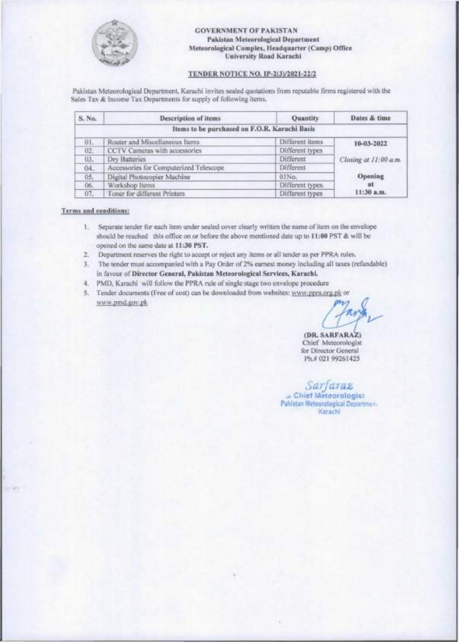

#### **GOVERNMENT OF PAKISTAN Pakistan Meteorological Department Meteorological Complex, Headquarter (Camp) Office University Road Karachi**

#### **TENDE R NOTIC E NO. 1P-2(3V2021-22/2**

Pakistan Meteorological Department, Karachi invites sealed quotations from reputable firms registered with the Sales Tax & Income Tax Departments for supply of following items.

| S. No. | Description of items                          | <b>Quantity</b>  | Dates & time          |
|--------|-----------------------------------------------|------------------|-----------------------|
|        | Items to be purchased on F.O.R. Karachi Basis |                  |                       |
| 01.    | Router and Miscellaneous Items                | Different items  | 10-03-2022            |
| $02 -$ | CCTV Cameras with accessories                 | Different types  |                       |
| 03.    | Dry Batteries                                 | Different        | Closing at 11:00 a.m. |
| 04.    | Accessories for Computerized Telescope        | Different        |                       |
| 05.    | Digital Photocopier Machine                   | 01No.            | Opening               |
| 06.    | Workshop Items                                | Different types. | иt                    |
| 07.    | Foner for different Printers                  | Different types  | 11:30 а.п.            |

#### **Terms and conditions:**

- 1. Separate tender for each item under sealed cover clearly written the name of item on the envelope should be reached this office on or before the above mentioned date up to **11:00** PST & will be opened on the same date at **11:30 PST.**
- 2. Department reserves the right to accept or reject any items or all tender as per PPRA rules.
- 3. The tender must accompanied with a Pay Order of 2% earnest money including all taxes (refundable) in favour of **Director General, Pakistan Meteorological Services, Karachi.**
- 4. PMD, Karachi will follow the PPRA rule of single stage two envelope procedure
- 5. Tender documents (Free of cost) can be downloaded from websites: [www.ppra.org.pk](http://www.ppra.org.pk) or [www.pmd.gov.pk](http://www.pmd.gov.pk)

**(DR. SARFARAZ)**  Chief Meteorologist for Director General Ph.# 021 99261425

*Sarfaraz JX* **Chie f Meteorologis t Pakistan Meteorological Departmen. Karachi**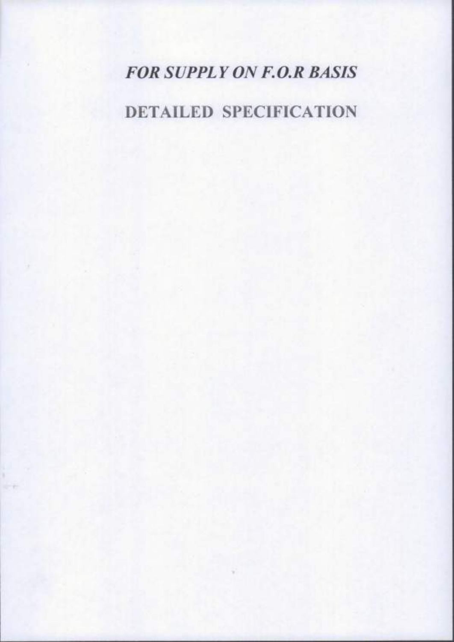# *FOR SUPPL Y ON F. O.R BASIS*

## **DETAILED SPECIFICATION**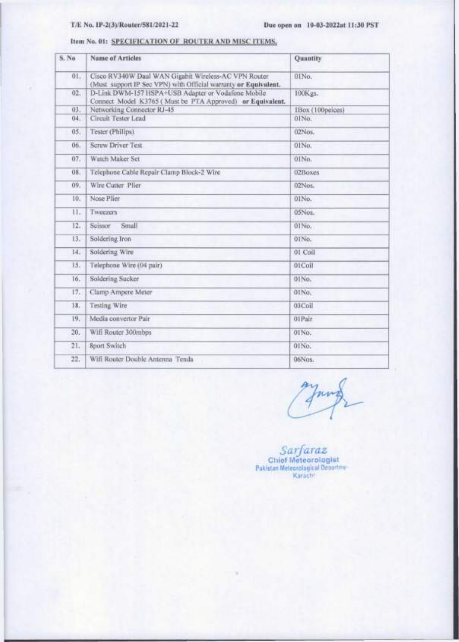#### T/E. No. 1P-2(3)/Router/581/2021-22

Item No. 01: SPECIFICATION OF ROUTER AND MISC ITEMS.

| S. No | <b>Name of Articles</b>                                                                                                 | Quantity         |
|-------|-------------------------------------------------------------------------------------------------------------------------|------------------|
| 01.   | Cisco RV340W Daul WAN Gigabit Wireless-AC VPN Router<br>(Must support IP Sec VPN) with Official warranty or Equivalent. | 01No.            |
| 02.   | D-Link DWM-157 HSPA+USB Adapter or Vodafone Mobile<br>Connect Model K3765 (Must be PTA Approved) or Equivalent.         | 100Kgs.          |
| 63.   | Networking Connector RJ-45                                                                                              | IBox (100peices) |
| 04.   | Circuit Tester Lead                                                                                                     | 01No.            |
| 05.   | Tester (Phillips)                                                                                                       | 02Nos.           |
| 06.   | <b>Screw Driver Test</b>                                                                                                | 01No.            |
| 07.   | Watch Maker Set                                                                                                         | 01No.            |
| 08.   | Telephone Cable Repair Clamp Block-2 Wire                                                                               | 02Boxes          |
| 09.   | Wire Cutter Plier                                                                                                       | 02Nos.           |
| 10.   | Nose Plier                                                                                                              | 01No.            |
| 11.   | Tweezers                                                                                                                | 05Nos.           |
| 12.   | Small<br>Soissor                                                                                                        | 01 No.           |
| 13.   | Soldering Iron                                                                                                          | 01No.            |
| 14.   | Soldering Wire                                                                                                          | 01 Coil          |
| 15.   | Telephone Wire (04 pair)                                                                                                | 01Coll           |
| 16.   | Soldering Sucker                                                                                                        | 01No.            |
| 17.   | Clamp Ampere Meter                                                                                                      | 01No.            |
| 18.   | Testing Wire                                                                                                            | 03Coil           |
| 19.   | Media convertor Pair                                                                                                    | 01Pair           |
| 20.   | Wift Router 300mbps                                                                                                     | 01No.            |
| 21.   | <b>Sport Switch</b>                                                                                                     | 01No.            |
| 22.   | Wifi Router Double Antenna Tenda                                                                                        | 06Nos.           |

nm

 $\begin{array}{c}\n\textit{Sart} \textit{ar} \\ \textit{Chief Metcorologist} \\ \textit{Pakistan Metecroological Deordim} \\ \textit{Karachn} \end{array}$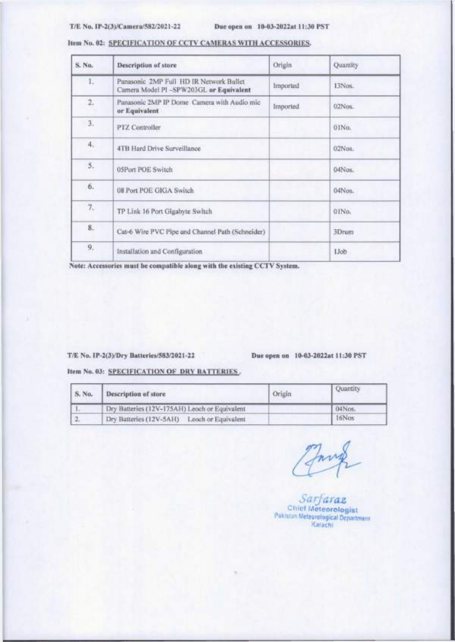#### **T /E No. lP-2(3)/Camera/582/2021-22 Due open on 10-03-2022at 11:30 PST**

| S. No.    | Description of store                                                              | Origin          | Quantity          |
|-----------|-----------------------------------------------------------------------------------|-----------------|-------------------|
| 1.7       | Panasonic 2MP Full HD IR Network Bullet<br>Camera Model PI-SPW203GL or Equivalent | <i>Imported</i> | 13Nos.            |
| 2.        | Panasonic 2MP IP Dome Camera with Audio mic<br>or Equivalent                      | <i>Imported</i> | $02$ Nos.         |
| 3.1       | PTZ Controller                                                                    |                 | 01No.             |
| 4,<br>YO. | 4TB Hard Drive Surveillance                                                       |                 | 02Nos.            |
| 5.        | 05Port POE Switch                                                                 |                 | 04Nos.            |
| 6.        | 08 Port POE GIGA Switch                                                           |                 | 04Nos.            |
| 7.        | TP Link 16 Port Gigabyte Switch                                                   |                 | 01No.<br>www.co   |
| 8.        | Cat-6 Wire PVC Pipe and Channel Path (Schneider)                                  |                 | 3Drum             |
| 9.        | Installation and Configuration                                                    |                 | Llob <sup>1</sup> |

#### **Item No. 02: SPECIFICATION OF CCTV CAMERAS WITH ACCESSORIES.**

Note: Accessories must be compatible along with the existing CCTV System.

#### **T /E No. lP-2(3)/Dry Batteries/583/2021-22 Due open on 10-03-2022at 11:30 PST**

**Item No. 03: SPECIFICATION OF DRY BATTERIES.** 

| S. No. | Description of store                          | Origin | Quantity |
|--------|-----------------------------------------------|--------|----------|
|        | Dry Batteries (12V-175AH) Leoch or Equivalent |        | 04Nos.   |
|        | Dry Batteries (12V-5AH) Leoch or Equivalent   |        | 16Nos    |

*Sarfaraz*  **Chie f Meteorologis t Pakistan Meteorological Department Karachi**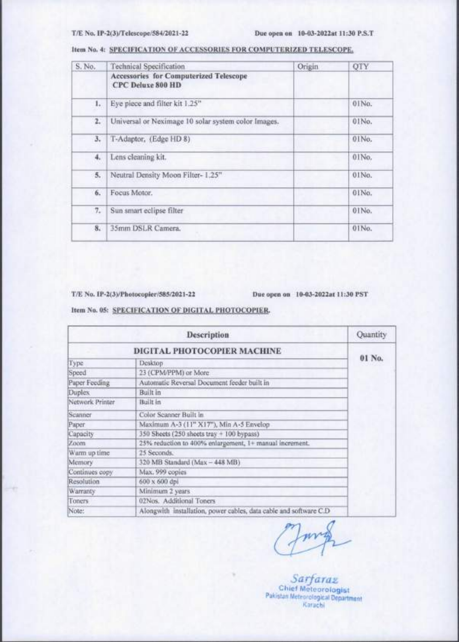#### **T /E No. IP-2(3)/Telescope/584/2021-22 Due open on 10-03-2022at 11:30 P.S.T**

| S. No. | <b>Technical Specification</b>                              | Origin | QTY   |
|--------|-------------------------------------------------------------|--------|-------|
|        | Accessories for Computerized Telescope<br>CPC Deluxe 800 HD |        |       |
| 1.     | Eye piece and filter kit 1.25"                              |        | 01No. |
| 2.7    | Universal or Neximage 10 solar system color Images.         |        | 01No. |
| 3.     | T-Adaptor, (Edge HD 8)                                      |        | 01No. |
| 4.     | Lens cleaning kit.                                          |        | 01No. |
| 5.     | Neutral Density Moon Filter-1.25"                           |        | 01No. |
| 6.     | Focus Motor.                                                |        | 01No. |
| 7.     | Sun smart eclipse filter                                    |        | 01No. |
| 8.     | 35mm DSLR Camera.                                           |        | 01No. |

#### **Item No. 4: SPECIFICATION OF ACCESSORIES FOR COMPUTERIZED TELESCOPE.**

**T /E No. IP-2(3)/Photocopier/585/2021-22 Due open on 10-03-2022at 11:30 PST** 

**Item No. 05: SPECIFICATION OF DIGITAL PHOTOCOPIER.** 

|                 | Description                                                        | Quantity |
|-----------------|--------------------------------------------------------------------|----------|
|                 | DIGITAL PHOTOCOPIER MACHINE                                        |          |
| Type            | Desktop                                                            | 01 No.   |
| Speed           | 23 (CPM/PPM) or More                                               |          |
| Puper Feeding   | Automatic Reversal Document feeder built in                        |          |
| Duplex          | Built in                                                           |          |
| Network Printer | Built in                                                           |          |
| Scanner         | Color Scanner Built in                                             |          |
| Paper.          | Maximum A-3 (11" X17"), Min A-5 Envelop                            |          |
| Capacity        | 350 Sheets (250 sheets tray + 100 bypass)                          |          |
| Zoom            | 25% reduction to 400% enlargement, 1+ manual increment.            |          |
| Warm up time    | 25 Seconds.                                                        |          |
| Memory          | 320 MB Standard (Max - 448 MB)                                     |          |
| Continues copy  | Max. 999 copies                                                    |          |
| Resolution      | 600 x 600 dpi                                                      |          |
| Warranty        | Minimum 2 years                                                    |          |
| Toners          | 02Nos. Additional Toners                                           |          |
| Note:           | Alongwith Installation, power cables, data cable and software C.D. |          |

*Sarfaraz*  **Chie f Meteorologis t Pakistan Meteorological Department Karachi**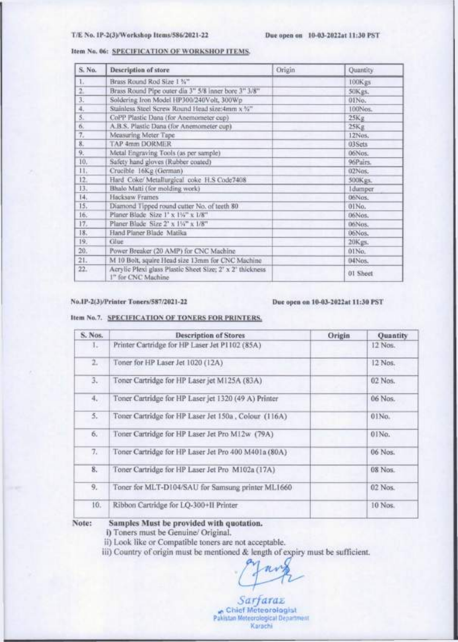#### **T /E No. IP-2(3)/Workshop Items/586/2021-22 Due open on 10-03-2022at 11:30 PST**

#### **Item No. 06: SPECIFICATION OF WORKSHOP ITEMS.**

| S. No.         | <b>Description of store</b>                                                     | Origin | Quantity        |
|----------------|---------------------------------------------------------------------------------|--------|-----------------|
| L.             | Brass Round Rod Size 1 %"                                                       |        | 100Kgs          |
| $\overline{2}$ | Brass Round Pipe outer dia 3" 5/8 inner bore 3" 3/8"                            |        | 50Kgs.          |
| 3.7            | Soldering Iron Model HP300/240Volt, 300Wp                                       |        | OINo.           |
| 4.             | Stainless Steel Screw Round Head size:4mm x %"                                  |        | 100Nos.         |
| 5.             | CoPP Plastic Dana (for Anemometer cup)                                          |        | 25Kg            |
| 6.             | A.B.S. Plastic Dana (for Anemometer cup)                                        |        | 25Kg            |
| 7.             | Measuring Meter Tape                                                            |        | 12Nos.          |
| 8.             | <b>TAP 4mm DORMER</b>                                                           |        | 03Sets          |
| 9.             | Metal Engraving Tools (as per sample)                                           |        | 06Nos;          |
| 10.            | Safety hand gloves (Rubber coated)                                              |        | 96Pairs.        |
| 11.7           | Crucible 16Kg (German)                                                          |        | 02Nos:          |
| 12.            | Hard Coke/Metallurgical coke H.S Code7408                                       |        | 500Kgs.         |
| 13.            | Bhalo Matti (for molding work)                                                  |        | <b>I</b> dumper |
| 14.            | Hacksaw Frames                                                                  |        | 06Nos.          |
| 15.            | Diamond Tipped round cutter No. of teeth 80                                     |        | 01No.           |
| 16.            | Planer Blade Size 1' x 134" x 1/8"                                              |        | 06Nos.          |
| 17.            | Planer Blade Size 2' x 1%" x 1/8"                                               |        | 06Nos.          |
| 18.            | Hand Planer Blade Matika                                                        |        | 06Nos.          |
| 19.            | Glue                                                                            |        | 20Kgs.          |
| 20.            | Power Breaker (20 AMP) for CNC Machine                                          |        | $01$ No.        |
| 21.            | M 10 Bolt, squire Head size 13mm for CNC Machine                                |        | 04Nos.          |
| 22.            | Acrylic Plexi glass Plastic Sheet Size; 2' x 2' thickness<br>1" for CNC Machine |        | 01 Sheet        |

#### **No.IP-2(3)/Printer Toners/587/2021-22 Due open on 10-03-2022at 11:30 PST**

#### **Item No.7. SPECIFICATION OF TONERS FOR PRINTERS.**

| S. Nos. | <b>Description of Stores</b>                         | Origin | Quantity  |
|---------|------------------------------------------------------|--------|-----------|
| h.      | Printer Cartridge for HP Laser Jet P1102 (85A)       |        | 12 Nos.   |
| 2.      | Toner for HP Laser Jet 1020 (12A)                    |        | 12 Nos.   |
| з.      | Toner Cartridge for HP Laser jet M125A (83A)         |        | 02 Nos.   |
| 4.      | Toner Cartridge for HP Laser jet 1320 (49 A) Printer |        | 06 Nos.   |
| 5.      | Toner Cartridge for HP Laser Jet 150a, Colour (116A) |        | 01No.     |
| б.      | Toner Cartridge for HP Laser Jet Pro M12w (79A)      |        | 01No.     |
| 7.      | Toner Cartridge for HP Laser Jet Pro 400 M401a (80A) |        | 06 Nos.   |
| 8.      | Toner Cartridge for HP Laser Jet Pro M102a (17A)     |        | 08 Nos.   |
| 9.      | Toner for MLT-D104/SAU for Samsung printer ML1660    |        | $02$ Nos. |
| 10.     | Ribbon Cartridge for LQ-300+II Printer               |        | 10 Nos.   |
|         |                                                      |        |           |

#### **Note: Samples Must be provided with quotation.**

**i)** Toners must be Genuine/ Original.

ii) Look like or Compatible toners are not acceptable.

iii) Country of origin must be mentioned & length of expiry must be sufficient.

*Sarfaraz ,f,* **Chie f Meteorologis t Pakistan Meteorological Department Karachi**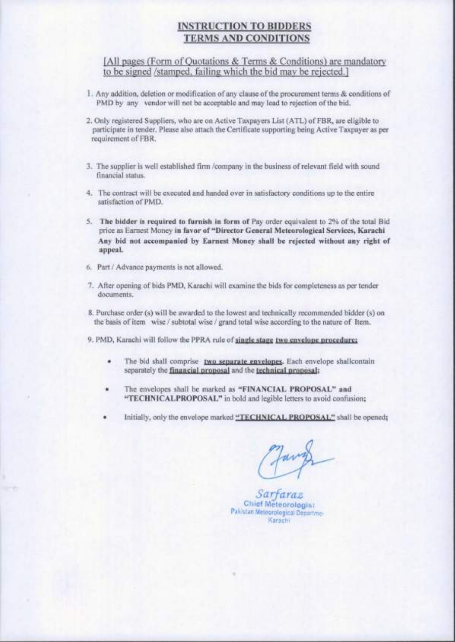### **INSTRUCTION TO BIDDERS TERMS AND CONDITIONS**

[All pages (Form of Quotations & Terms & Conditions) are mandatory to be signed /stamped, failing which the bid may be rejected.]

- 1. Any addition, deletion or modification of any clause of the procurement terms & conditions of PMD by any vendor will not be acceptable and may lead to rejection of the bid.
- 2. Only registered Suppliers, who are on Active Taxpayers List (ATL) of FBR, are eligible to participate in tender. Please also attach the Certificate supporting being Active Taxpayer as per requirement of FBR.
- 3. The supplier is well established firm /company in the business of relevant field with sound financial status.
- 4. The contract will be executed and handed over in satisfactory conditions up to the entire satisfaction of PMD.
- 5. **The bidder is required to furnish in form of** Pay order equivalent to 2% of the total Bid price as Earnest Money **in favor of "Director General Meteorological Services, Karachi Any bid not accompanied by Earnest Money shall be rejected without any right of appeal.**
- 6. Part / Advance payments is not allowed.
- 7. After opening of bids PMD, Karachi will examine the bids for completeness as per tender documents.
- **8.** Purchase order (s) will be awarded to the lowest and technically recommended bidder (s) on the basis of item wise / subtotal wise / grand total wise according to the nature of Item.

9. PMD, Karachi will follow the PPRA rule of **single stage two envelope procedure:** 

- The bid shall comprise two separate envelopes. Each envelope shallcontain separately the **financial proposal** and the **technical proposal:**
- The envelopes shall be marked as **"FINANCIAL PROPOSAL" and "TECHNICALPROPOSAL"** in bold and legible letters to avoid confusion;
- Initially, only the envelope marked **"TECHNICA L PROPOSAL "** shall be opened;

*Sarfaraz*  **Chie f Meteorologis t Pakistan Meteorological Departmej Karachi**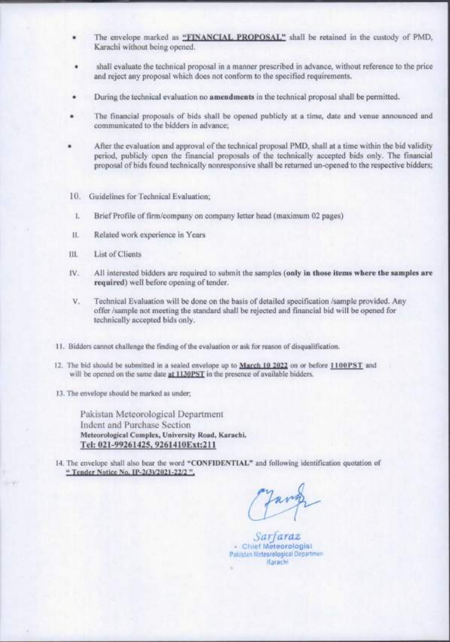- The envelope marked as **"FTNANCTAL PROPOSAL"** shall be retained in the custody of PMD, Karachi without being opened.
- shall evaluate the technical proposal in a manner prescribed in advance, without reference to the price and reject any proposal which does not conform to the specified requirements.
- During the technical evaluation no **amendments** in the technical proposal shall be permitted.
- » The financial proposals of bids shall be opened publicly at a time, date and venue announced and communicated to the bidders in advance;
- After the evaluation and approval of the technical proposal PMD, shall at a time within the bid validity ٠ period, publicly open the financial proposals of the technically accepted bids only. The financial proposal of bids found technically nonresponsive shall be returned un-opened to the respective bidders;
- 10. Guidelines for Technical Evaluation;
- <sup>I</sup> . Brief Profile of firm/company on company letter head (maximum 02 pages)
- **11.** Related work experience in Years
- III. List of Clients
- IV. All interested bidders are required to submit the samples **(only in those items where the samples are required)** well before opening of tender.
- V. Technical Evaluation will be done on the basis of detailed specification /sample provided. Any offer /sample not meeting the standard shall be rejected and financial bid will be opened for technically accepted bids only.
- 11. Bidders cannot challenge the finding of the evaluation or ask for reason of disqualification.
- 12. The bid should be submitted in a sealed envelope up to **March 10 2022** on or before **llOOPS T** and will be opened on the same date **at 1130PST** in the presence of available bidders.
- 13. The envelope should be marked as under;

Pakistan Meteorological Department Indent and Purchase Section **Meteorological Complex, University Road, Karachi. Tel:** 021-99261425. 9261410Ext;211

14. The envelope shall also bear the word **"CONFIDENTIAL "** and following identification quotation of **" Tender Notice No. IP**-2GV2n2l-22/2 " .

Jaro

*Sarfaraz*  **' Chie f Meteorologis t Pakistan Meteorological Departmen Karachi**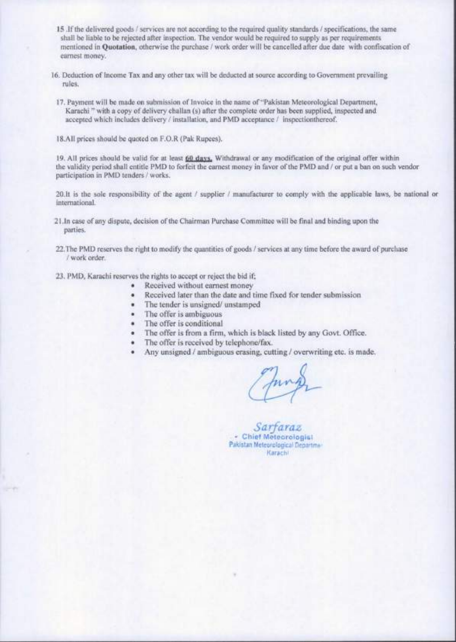- **15** .If the delivered goods / services are not according to the required quality standards / specifications, the same shall be liable to be rejected after inspection. The vendor would be required to supply as per requirements mentioned in Quotation, otherwise the purchase / work order will be cancelled after due date with confiscation of earnest money.
- 16. Deduction of Income Tax and any other tax will be deducted at source according to Government prevailing rules.
	- 17. Payment will be made on submission of Invoice in the name of "Pakistan Meteorological Department, Karachi" with a copy of delivery challan (s) after the complete order has been supplied, inspected and accepted which includes delivery / installation, and PMD acceptance / inspectionthereof.
- 18. A11 prices should be quoted on F.O.R (Pak Rupees).

19. All prices should be valid for at least 60 days. Withdrawal or any modification of the original offer within the validity period shall entitle PMD to forfeit the earnest money in favor of the PMD and / or put a ban on such vendor participation in PMD tenders / works.

20.1t is the sole responsibility of the agent / supplier / manufacturer to comply with the applicable laws, be national or international.

- 21.In case of any dispute, decision of the Chairman Purchase Committee will be final and binding upon the parties.
- 22. The PMD reserves the right to modify the quantities of goods / services at any time before the award of purchase / work order.
- 23. PMD, Karachi reserves the rights to accept or reject the bid if;
	- Received without earnest money
	- Received later than the date and time fixed for tender submission
	- The tender is unsigned/ unstamped
	- The offer is ambiguous
	- The offer is conditional
	- The offer is from a firm, which is black listed by any Govt. Office.
	- The offer is received by telephone/fax.
	- Any unsigned / ambiguous erasing, cutting / overwriting etc. is made.

*Sarfaraz*  **• •• Chie f Meteoroiogis t Pakistan Meteorological Departme! Karachi**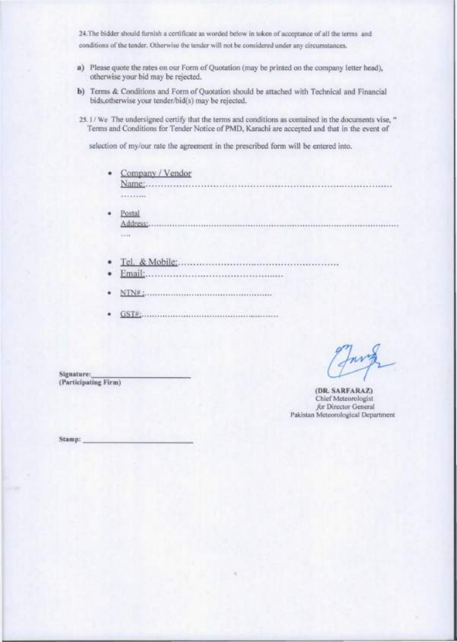24.The bidder should furnish a certificate as worded below in token of acceptance of ail the terms and conditions of the tender. Otherwise the tender will not be considered under any circumstances.

- **a)** Please quote the rates on our Form of Quotation (may be printed on the company letter head), otherwise your bid may be rejected.
- b) Terms & Conditions and Form of Quotation should be attached with Technical and Financial bids,otherwise your tender/bid(s) may be rejected.

25.1 / We The undersigned certify that the terms and conditions as contained in the documents vise, " Terms and Conditions for Tender Notice of PMD, Karachi arc accepted and that in the event of

selection of my/our rate the agreement in the prescribed form will be entered into.

• Company / Vendor Name:

.........

- Postal A'j'jrggg;  $1114$
- Tel. «fe Mobile:
- Email:
- NTN#:
- GST#:

**(DR. SARFARAZ)**  Chief Meteorologist /or Director General Pakistan Meteorological Department

**Signature: (Participating Firm)** 

**Stamp:**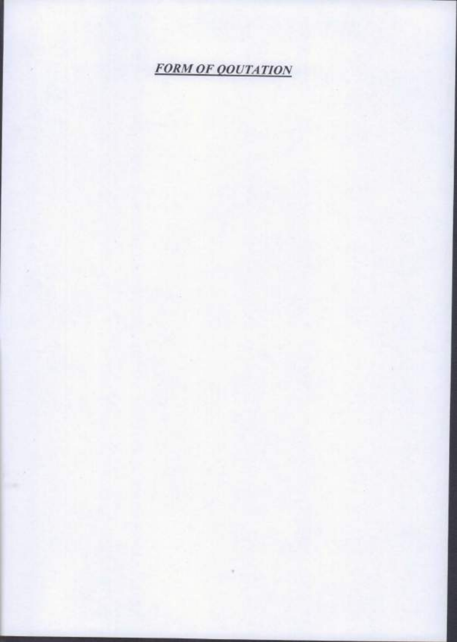**FORM OF QOUTATION**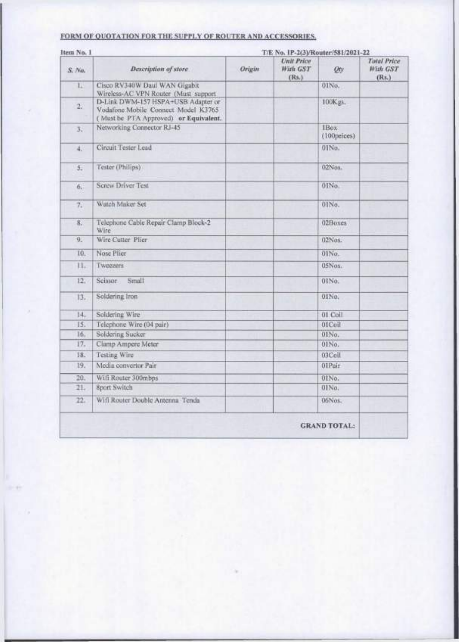#### FORM OF QUOTATION FOR THE SUPPLY OF ROUTER AND ACCESSORIES.

| S. No.<br>L. | Description of store                                                                                               | <b>Origin</b> | Unit Price<br>With GST | On.                  | Total Price<br>With GST |
|--------------|--------------------------------------------------------------------------------------------------------------------|---------------|------------------------|----------------------|-------------------------|
|              |                                                                                                                    |               | (Rs.)                  |                      | (Rs.)                   |
|              | Cisco RV340W Daul WAN Gigabit<br>Wireless-AC VPN Router (Must support                                              |               |                        | 01No.                |                         |
| 27           | D-Link DWM-157 HSPA+USB Adapter or<br>Vodafone Mobile Connect Model K3765<br>(Must be PTA Approved) or Equivalent. |               |                        | 100Kgs.              |                         |
| 3.           | Networking Connector RJ-45                                                                                         |               |                        | IBox.<br>(100peices) |                         |
| 4.           | Circuit Tester Lead                                                                                                |               |                        | 01No.                |                         |
| 5.           | Tester (Philips)                                                                                                   |               |                        | 02Nos.               |                         |
| 6.           | Screw Driver Test                                                                                                  |               |                        | 0INo.                |                         |
| 7.           | Watch Maker Set                                                                                                    |               |                        | 01No.                |                         |
| 8.           | Telephone Cable Repair Clamp Block-2<br>Wire <sup>1</sup>                                                          |               |                        | 02Boxes              |                         |
| 9.           | Wire Cutter Plier                                                                                                  |               |                        | 02Nos.               |                         |
| 10.          | Nose Plier                                                                                                         |               |                        | 01No.                |                         |
| 11.          | Tweezers                                                                                                           |               |                        | 05Nos.               |                         |
| 12.          | Scissor<br>Small                                                                                                   |               |                        | 0INo.                |                         |
| 13.          | Soldering fron                                                                                                     |               |                        | 01No.                |                         |
| 14.          | Soldering Wire                                                                                                     |               |                        | 01 Coll              |                         |
| 15.          | Telephone Wire (04 pair)                                                                                           |               |                        | 01Coll               |                         |
| 16.          | Soldering Sucker                                                                                                   |               |                        | 01No.                |                         |
| 17.          | Clamp Ampere Meter                                                                                                 |               |                        | 01No.                |                         |
| 18.          | Testing Wire                                                                                                       |               |                        | 03Coll               |                         |
| 19.          | Modia convertor Pair                                                                                               |               |                        | 01Pair               |                         |
| 20.          | Wifi Router 300mbps                                                                                                |               |                        | 01No.                |                         |
| 21.          | <b>Sport Switch</b>                                                                                                |               |                        | 01No.                |                         |
| 22.          | Wifi Rooter Double Antenna Tenda                                                                                   |               |                        | 06Nos.               |                         |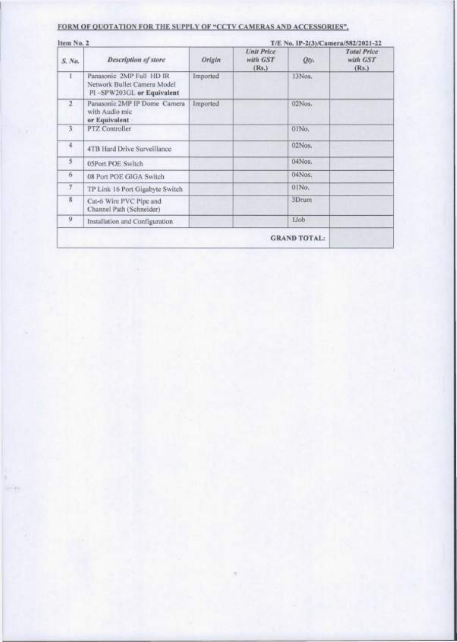#### **FOR M O F QUOTATION FO R TH E SUPPLY O F "CCT V CAMERA S AND ACCESSORIES" .**

| Item No. 2              |                                                                                      |          | T/E No. 1P-2(3)/Camera/582/2021-22     |        |                                         |
|-------------------------|--------------------------------------------------------------------------------------|----------|----------------------------------------|--------|-----------------------------------------|
| S. No.                  | Description of store                                                                 | Origin   | <b>Unit Price</b><br>with GST<br>(Rs.) | Otr-   | <b>Total Price</b><br>with GST<br>(Rs.) |
|                         | Panasonic 2MP Full HD IR<br>Network Bullet Camera Model<br>PI-SPW203GL or Equivalent | Imported |                                        | 13Nos. |                                         |
| $\overline{2}$          | Panasonic 2MP IP Dome Camera<br>with Audio mic<br>or Equivalent                      | Imported |                                        | 02Nos. |                                         |
| $\overline{3}$          | PTZ Controller                                                                       |          |                                        | 01No.  |                                         |
| $\ddot{\phantom{0}}$    | 4TB Hard Drive Surveillance                                                          |          |                                        | 02Nos. |                                         |
| $\overline{\mathbf{5}}$ | 05Port POE Switch                                                                    |          |                                        | 04Nos. |                                         |
| 6                       | 08 Port POE GIGA Switch                                                              |          |                                        | 04Nos. |                                         |
| $\tau$                  | TP Link 16 Port Gigabyte Switch                                                      |          |                                        | 01No.  |                                         |
| $\overline{\mathbf{8}}$ | Cat-6 Wire PVC Pipe and<br>Channel Path (Schneider)                                  |          |                                        | 3Drum  |                                         |
| 9                       | Installation and Configuration                                                       |          |                                        | 1Job   |                                         |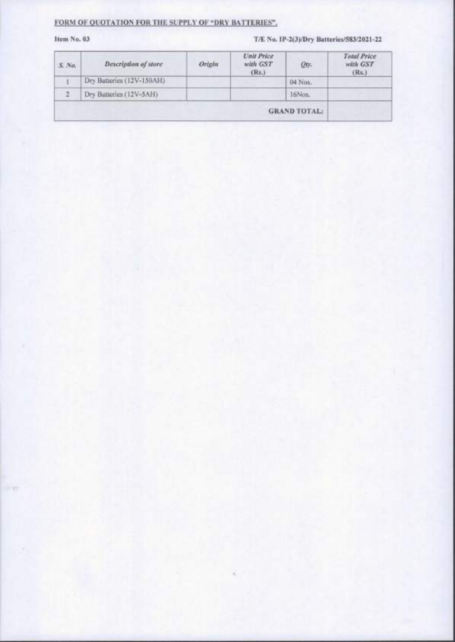#### **FORM OF QUOTATION FOR THE SUPPLY OF "DRY BATTERIES".**

#### **Item No. 03** T/E No. IP-2(3)/Dry Batteries/583/2021-22

| $S$ . Na.   | Description of store      | Origin | <b>Unit Price</b><br>with GST<br>(Rs.) | Qty.                | Total Price<br>with GST<br>(Rs.) |
|-------------|---------------------------|--------|----------------------------------------|---------------------|----------------------------------|
| . .         | Dry Batteries (12V-150AH) |        |                                        | 04 Nos.             |                                  |
| $2^{\circ}$ | Dry Batteries (12V-5AH)   |        |                                        | 16Nos.              |                                  |
|             |                           |        |                                        | <b>GRAND TOTAL:</b> |                                  |

**»**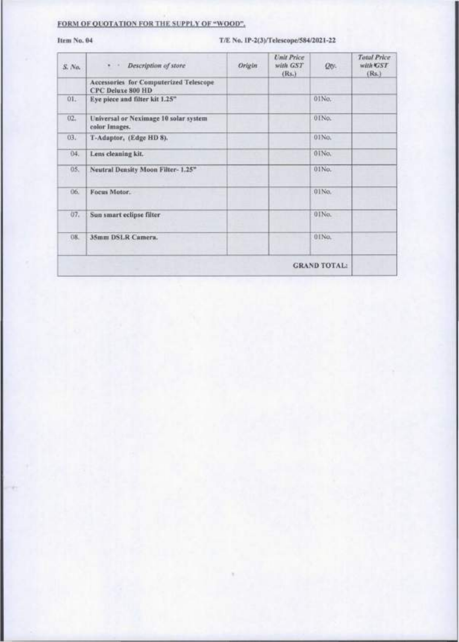### **FORM OF QUOTATION FOR THE SUPPLY OF "WOOD".**

#### **Item No. 04 T/E No. IP-2(3)/Telescope/584/2021-22**

| S. No.              | · · Description of store                                           | Origin | <b>Unit Price</b><br>with GST<br>(Rs.) | Otv.                | <b>Total Price</b><br>with <b>GST</b><br>(Rs.) |
|---------------------|--------------------------------------------------------------------|--------|----------------------------------------|---------------------|------------------------------------------------|
|                     | Accessories for Computerized Telescope<br><b>CPC Deluxe 800 HD</b> |        |                                        |                     |                                                |
| 01.                 | Eye piece and filter kit 1.25"                                     |        |                                        | 01No.               |                                                |
| 02.                 | Universal or Neximage 10 solar system<br>color Images.             |        |                                        | 01No.               |                                                |
| 03.                 | T-Adaptor, (Edge HD 8).                                            |        |                                        | 01No.               |                                                |
| 04.                 | Lens cleaning kit.                                                 |        |                                        | 0INo.               |                                                |
| 05.                 | Neutral Density Moon Filter-1.25"                                  |        |                                        | 01No.               |                                                |
| 06.                 | Focus Motor.                                                       |        |                                        | 01No.               |                                                |
| 07.                 | Sun smart eclipse filter                                           |        |                                        | 01No.               |                                                |
| 08.<br><b>SERVI</b> | 35mm DSLR Camera.                                                  |        |                                        | 01No.               |                                                |
|                     |                                                                    |        |                                        | <b>GRAND TOTAL:</b> |                                                |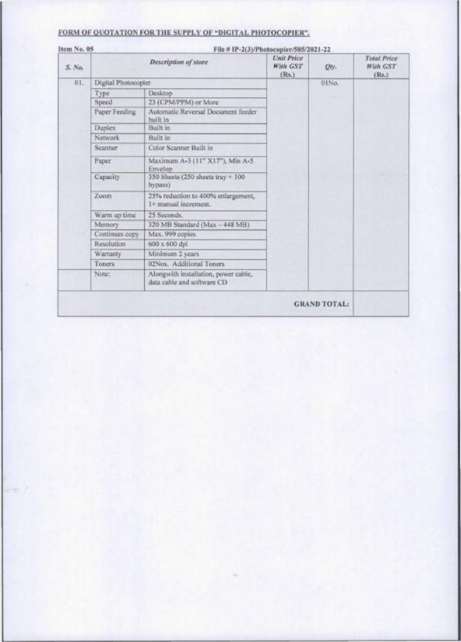| FORM OF OUOTATION FOR THE SUPPLY OF "DIGITAL PHOTOCOPIER" |  |
|-----------------------------------------------------------|--|
|-----------------------------------------------------------|--|

| Item No. 05<br>File # IP-2(3)/Photocopier/585/2021-22                       |                                        |       |                                                |
|-----------------------------------------------------------------------------|----------------------------------------|-------|------------------------------------------------|
| Description of store<br>S. No.                                              | <b>Unit Price</b><br>With GST<br>(Rs.) | Otv-  | <b>Total Price</b><br><b>With GST</b><br>(Rs.) |
| Digital Photocopier<br>01.                                                  |                                        | 01No. |                                                |
| Desktop<br>Type                                                             |                                        |       |                                                |
| 23 (CPM/PPM) or More<br>Speed                                               |                                        |       |                                                |
| Paper Feeding<br>Automatic Reversal Document feeder<br>built in             |                                        |       |                                                |
| Duplex<br>Built in                                                          |                                        |       |                                                |
| Network<br>Built in                                                         |                                        |       |                                                |
| Color Scanner Built in<br><b>Scanner</b>                                    |                                        |       |                                                |
| Paper<br>Maximum A-3 (11" X17"), Min A-5:<br>Envelop                        |                                        |       |                                                |
| 350 Sheets (250 sheets tray + 100<br>Capacity<br>hypass)                    |                                        |       |                                                |
| 25% reduction to 400% enlargement,<br>Zoom<br>1+ manual increment.          |                                        |       |                                                |
| Warm up time<br>25 Seconds.                                                 |                                        |       |                                                |
| 320 MB Standard (Max - 448 MB)<br>Memory                                    |                                        |       |                                                |
| Continues copy<br>Max. 999 coples                                           |                                        |       |                                                |
| Resolution<br>600 x 600 dpl                                                 |                                        |       |                                                |
| Warranty<br>Minimum 2 years                                                 |                                        |       |                                                |
| 02Nos. Additional Toners<br>Toners                                          |                                        |       |                                                |
| Alongwith installation, power cable,<br>Note:<br>data cable and software CD |                                        |       |                                                |
|                                                                             |                                        |       | <b>GRAND TOTAL:</b>                            |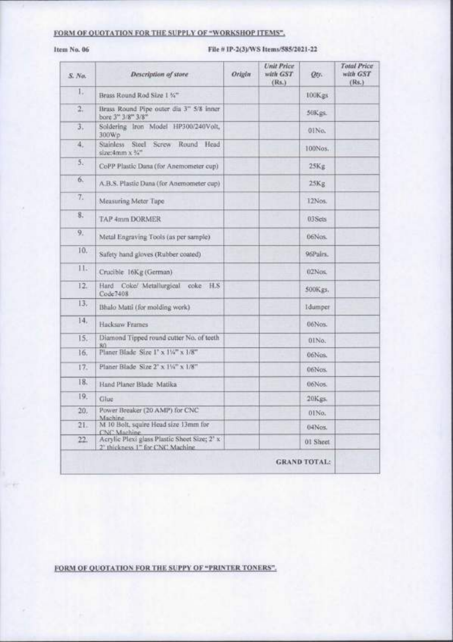#### FORM OF QUOTATION FOR THE SUPPLY OF "WORKSHOP ITEMS",

#### Item No. 06

#### File # IP-2(3)/WS Items/585/2021-22

| S. No.     | Description of store                                                                         | Origin | <b>Unit Price</b><br>with GST<br>(Rs.) | Otr.                | <b>Total Price</b><br>with GST<br>(Rs.) |
|------------|----------------------------------------------------------------------------------------------|--------|----------------------------------------|---------------------|-----------------------------------------|
| Ι.         | Brass Round Rod Size 1 %"                                                                    |        |                                        | 100Kgs              |                                         |
| $\ddot{x}$ | Brass Round Pipe outer dia 3" 5/8 inner<br>bore 3" 3/8" 3/8"                                 |        |                                        | 50Kgs.              |                                         |
| 3.         | Soldering Iron Model HP300/240Volt,<br>300Wp                                                 |        |                                        | 01No.               |                                         |
| 4.         | Stainless Steel Screw<br>Round<br>Head<br>size:4mm x %"                                      |        |                                        | 100Nos.             |                                         |
| 5.         | CoPP Plastic Dana (for Anemometer cup)                                                       |        |                                        | 25Kg                |                                         |
| 6.         | A.B.S. Plastic Dana (for Anemometer cup)                                                     |        |                                        | 25Kg                |                                         |
| 7.         | Measuring Meter Tape                                                                         |        |                                        | 12Nos.              |                                         |
| 8.         | TAP 4mm DORMER                                                                               |        |                                        | 03Sets              |                                         |
| 9.         | Metal Engraving Tools (as per sample).                                                       |        |                                        | 06Nos.              |                                         |
| 10.        | Safety hand gloves (Rubber coated)                                                           |        |                                        | 96Pairs.            |                                         |
| 11.        | Crucible 16Kg (German)                                                                       |        |                                        | 02Nos.              |                                         |
| 12.        | Hard Coke/ Metallurgical coke H.S.<br>Code7408                                               |        |                                        | 500Kgs.             |                                         |
| 13,        | Bhalo Matti (for molding work)                                                               |        |                                        | <b>Idumper</b>      |                                         |
| 14,        | Hacksaw Frames                                                                               |        |                                        | 06Nos.              |                                         |
| 15.        | Diamond Tipped round cutter No. of teeth<br>RO.                                              |        |                                        | 01No.               |                                         |
| 16.        | Planer Blade Size I' x 11/4" x 1/8"                                                          |        |                                        | 06Nes.              |                                         |
| 17.        | Planer Blade Size 2' x 1%" x 1/8"                                                            |        |                                        | 06Nos.              |                                         |
| 18.        | Hand Planer Blade Matika                                                                     |        |                                        | 06Nos.              |                                         |
| 19,        | Glue                                                                                         |        |                                        | 20Kgs.              |                                         |
| 20.        | Power Breaker (20 AMP) for CNC<br>Machine.                                                   |        |                                        | 01No.               |                                         |
| 21.7       | M 10 Bolt, squire Head size 13mm for<br>CNC Machine                                          |        |                                        | 04Nos.              |                                         |
| 22.        | Acrylic Plexi glass Plastic Sheet Size; 2' x<br>2 <sup>6</sup> thickness 1" for CNC Machine. |        |                                        | 01 Sheet            |                                         |
|            |                                                                                              |        |                                        | <b>GRAND TOTAL:</b> |                                         |

FORM OF QUOTATION FOR THE SUPPY OF "PRINTER TONERS".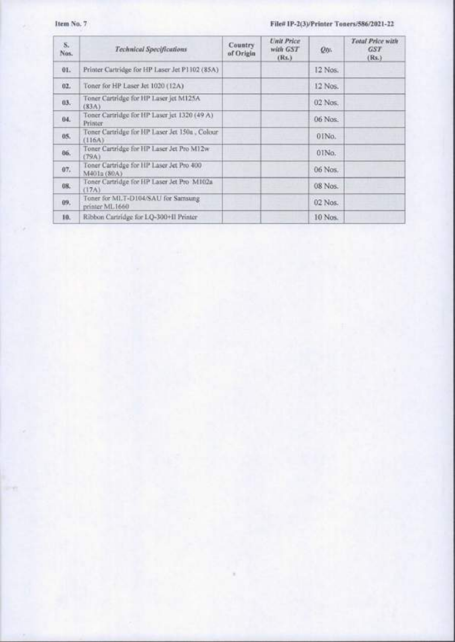#### **Item No. 7 File# IP-2(3)/Printer Toners/586/2021-22**

| $S_n$<br>Nos. | Technical Specifications                                | <b>Country</b><br>of Origin | <b>Unit Price</b><br>with GST<br>(Rs.) | Qo.     | Total Price with<br>GST <sub>1</sub><br>(Rs.) |
|---------------|---------------------------------------------------------|-----------------------------|----------------------------------------|---------|-----------------------------------------------|
| 01.           | Printer Cartridge for HP Laser Jet P1102 (85A)          |                             |                                        | 12 Nos. |                                               |
| 02.           | Toner for HP Laser Jet 1020 (12A)                       |                             |                                        | 12 Nos. |                                               |
| 03.           | Toner Cartridge for HP Laser jet M125A<br>(S3A)         |                             |                                        | 02 Nos. |                                               |
| 04.           | Toner Cartridge for HP Laser jet 1320 (49 A)<br>Printer |                             |                                        | 06 Nos. |                                               |
| 85.           | Toner Cartridge for HP Laser Jet 150a, Colour<br>(116A) |                             |                                        | 01No.   |                                               |
| 06.           | Toner Cartridge for HP Laser Jet Pro M12w<br>(79A)      |                             |                                        | 01No.   |                                               |
| 07.           | Toner Cartridge for HP Laser Jet Pro 400<br>M401a (80A) |                             |                                        | 06 Nos. |                                               |
| OH.           | Toner Cartridge for HP Laser Jet Pro M102a<br>(17A)     |                             |                                        | 08 Nos. |                                               |
| 09.           | Toner for MLT-D104/SAU for Samsung<br>printer ML1660    |                             |                                        | 02 Nos. |                                               |
| 10.           | Ribbon Cartridge for LQ-300+II Printer                  |                             |                                        | 10 Nos. |                                               |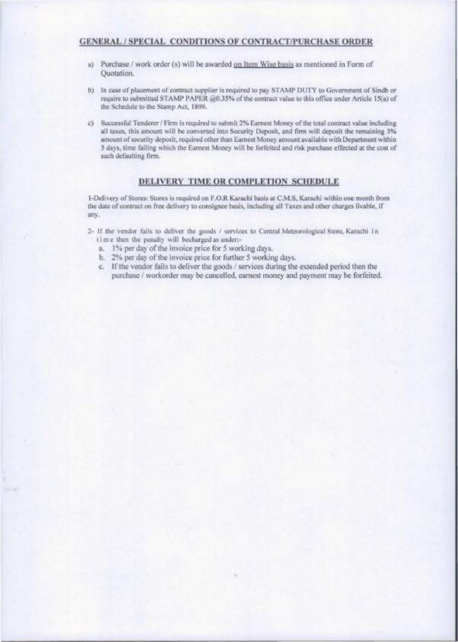#### **GENERA L / SPECIA L CONDITIONS OF CONTRACT/PURCHASE ORDER**

- a) Purchase / work order (s) will be awarded on Item Wise basis as mentioned in Form of Quotation.
- b) In case of placement of contract supplier is required to pay STAMP DUTY to Government of Sindh or require to submitted STAMP PAPER @0.35% of the contract value to this office under Article 15(a) of the Schedule to the Stamp Act, 1899.
- c) Successful Tenderer / Firm is required to submit 2% Earnest Money of the total contract value including all taxes, this amount will be converted into Security Deposit, and firm will deposit the remaining 3% amount of security deposit, required other than Earnest Money amount available with Department within 5 days, time failing which the Eamest Money will be forfeited and risk purchase effected at the cost of such defaulting firm.

#### **DELIVERY TIME OR COMPLETION SCHEDULE**

1- Delivery of Stores: Stores is required on F.O.R Karachi basis at C.M.S, Karachi within one month from the date of contract on free delivery to consignee basis, including all Taxes and other charges livable, if any.

- 2- If the vendor fails to deliver the goods / services to Central Meteorological Store, Karachi i n tim e then the penalty will hecharged as under:
	- a. 1% per day of the invoice price for 5 working days.
	- b. 2% per day of the invoice price for further 5 working days.
	- c. If the vendor fails to deliver the goods / services during the extended period then the purchase / workorder may be cancelled, earnest money and payment may be forfeited.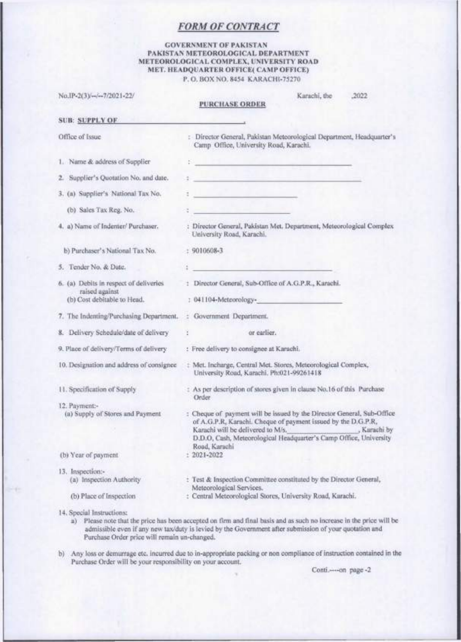#### **FORM OF CONTRACT**

#### **GOVERNMENT OF PAKISTAN PAKISTA N METEOROLOGICA L DEPARTMEN T METEOROLOGICA L COMPLEX , UNIVERSIT Y ROAD MET. HEADQUARTER OFFICE( CAMP OFFICE)**

|                                                                                         | P. O. BOX NO. 8454 KARACHI-75270                                                                                                                                                                                                                                                   |
|-----------------------------------------------------------------------------------------|------------------------------------------------------------------------------------------------------------------------------------------------------------------------------------------------------------------------------------------------------------------------------------|
| No.IP-2(3)/--/--7/2021-22/                                                              | Karachi, the<br>.2022<br><b>PURCHASE ORDER</b>                                                                                                                                                                                                                                     |
| <b>SUB: SUPPLY OF</b>                                                                   |                                                                                                                                                                                                                                                                                    |
| Office of Issue                                                                         | : Director General, Pakistan Meteorological Department, Headquarter's<br>Camp Office, University Road, Karachi.                                                                                                                                                                    |
| 1. Name & address of Supplier                                                           | <u> 811 - 151 - 151 - 152 - 162 - 1</u>                                                                                                                                                                                                                                            |
| 2. Supplier's Quotation No. and date.                                                   | t <u>en de la componenta</u> de la componenta de la componenta de la componenta de la componenta de la componenta de                                                                                                                                                               |
| 3. (a) Supplier's National Tax No.                                                      | <u> 1989 - Albert Standard III, me</u>                                                                                                                                                                                                                                             |
| (b) Sales Tax Reg. No.                                                                  |                                                                                                                                                                                                                                                                                    |
| 4. a) Name of Indenter/ Purchaser.                                                      | : Director General, Pakistan Met. Department, Meteorological Complex<br>University Road, Karachi,                                                                                                                                                                                  |
| b) Purchaser's National Tax No.                                                         | $: 9010608 - 3$                                                                                                                                                                                                                                                                    |
| 5. Tender No. & Date.                                                                   |                                                                                                                                                                                                                                                                                    |
| 6. (a) Debits in respect of deliveries<br>raised against<br>(b) Cost debitable to Head, | : Director General, Sub-Office of A.G.P.R., Karachi.<br>: 041104-Meteorology-                                                                                                                                                                                                      |
| 7. The Indenting/Purchasing Department.                                                 | : Government Department.                                                                                                                                                                                                                                                           |
| 8. Delivery Schedule/date of delivery                                                   | or earlier.<br>ĭ.                                                                                                                                                                                                                                                                  |
| 9. Place of delivery/Terms of delivery                                                  | : Free delivery to consignee at Karachi.                                                                                                                                                                                                                                           |
| 10. Designation and address of consignee                                                | : Met. Incharge, Central Met. Stores, Meteorological Complex,<br>University Road, Karachi, Ph:021-99261418                                                                                                                                                                         |
| 11. Specification of Supply                                                             | : As per description of stores given in clause No.16 of this Purchase<br>Order                                                                                                                                                                                                     |
| 12. Payment:-<br>(a) Supply of Stores and Payment                                       | : Cheque of payment will be issued by the Director General, Sub-Office<br>of A.G.P.R, Karachi. Cheque of payment issued by the D.G.P.R,<br>Karachi will be delivered to M/s.<br>, Karachi by<br>D.D.O, Cash, Meteorological Headquarter's Camp Office, University<br>Road, Karachi |
| (b) Year of payment                                                                     | $: 2021 - 2022$                                                                                                                                                                                                                                                                    |
| 13. Inspection:-<br>(a) Inspection Authority<br>(b) Place of Inspection                 | : Test & Inspection Committee constituted by the Director General,<br>Meteorological Services.<br>: Central Meteorological Stores, University Road, Karachi,                                                                                                                       |
|                                                                                         |                                                                                                                                                                                                                                                                                    |

14. Special Instructions:

- a) Please note that the price has been accepted on firm and final basis and as such no increase in the price will he admissible even if any new tax/duty is levied by the Government after submission of your quotation and Purchase Order price will remain un-changed.
- b) Any loss or demurrage etc. incurred due to in-appropriate packing or non compliance of instruction contained in the Purchase Order will he your responsibility on your account.

Conti.---- on page -2